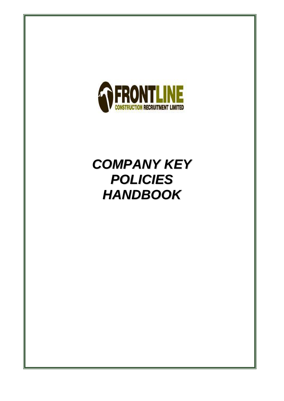

### *COMPANY KEY POLICIES HANDBOOK*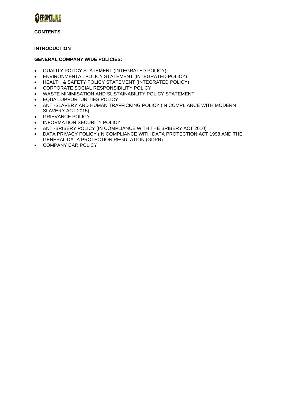

#### **CONTENTS**

#### **INTRODUCTION**

#### **GENERAL COMPANY WIDE POLICIES:**

- QUALITY POLICY STATEMENT (INTEGRATED POLICY)
- ENVIRONMENTAL POLICY STATEMENT (INTEGRATED POLICY)
- HEALTH & SAFETY POLICY STATEMENT (INTEGRATED POLICY)
- CORPORATE SOCIAL RESPONSIBILITY POLICY
- WASTE MINIMISATION AND SUSTAINABILITY POLICY STATEMENT
- EQUAL OPPORTUNITIES POLICY
- ANTI-SLAVERY AND HUMAN TRAFFICKING POLICY (IN COMPLIANCE WITH MODERN SLAVERY ACT 2015)
- GRIEVANCE POLICY
- INFORMATION SECURITY POLICY
- ANTI-BRIBERY POLICY (IN COMPLIANCE WITH THE BRIBERY ACT 2010)
- DATA PRIVACY POLICY (IN COMPLIANCE WITH DATA PROTECTION ACT 1998 AND THE GENERAL DATA PROTECTION REGULATION (GDPR)
- COMPANY CAR POLICY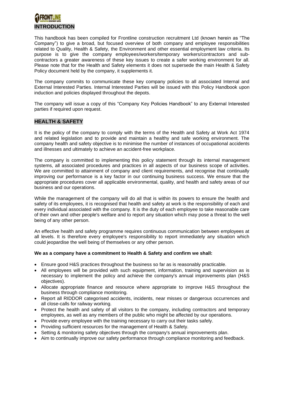# **INTRODUCTION**

This handbook has been compiled for Frontline construction recruitment Ltd (known herein as "The Company") to give a broad, but focused overview of both company and employee responsibilities related to Quality, Health & Safety, the Environment and other essential employment law criteria. Its purpose is to give the company employees/workers/temporary workers/contractors and subcontractors a greater awareness of these key issues to create a safer working environment for all. Please note that for the Health and Safety elements it does not supersede the main Health & Safety Policy document held by the company, it supplements it.

The company commits to communicate these key company policies to all associated Internal and External Interested Parties. Internal Interested Parties will be issued with this Policy Handbook upon induction and policies displayed throughout the depots.

The company will issue a copy of this "Company Key Policies Handbook" to any External Interested parties if required upon request.

#### **HEALTH & SAFETY**

It is the policy of the company to comply with the terms of the Health and Safety at Work Act 1974 and related legislation and to provide and maintain a healthy and safe working environment. The company health and safety objective is to minimise the number of instances of occupational accidents and illnesses and ultimately to achieve an accident-free workplace.

The company is committed to implementing this policy statement through its internal management systems, all associated procedures and practices in all aspects of our business scope of activities. We are committed to attainment of company and client requirements, and recognise that continually improving our performance is a key factor in our continuing business success. We ensure that the appropriate procedures cover all applicable environmental, quality, and health and safety areas of our business and our operations.

While the management of the company will do all that is within its powers to ensure the health and safety of its employees, it is recognised that health and safety at work is the responsibility of each and every individual associated with the company. It is the duty of each employee to take reasonable care of their own and other people's welfare and to report any situation which may pose a threat to the well being of any other person.

An effective health and safety programme requires continuous communication between employees at all levels. It is therefore every employee's responsibility to report immediately any situation which could jeopardise the well being of themselves or any other person.

#### **We as a company have a commitment to Health & Safety and confirm we shall:**

- Ensure good H&S practices throughout the business so far as is reasonably practicable.
- All employees will be provided with such equipment, information, training and supervision as is necessary to implement the policy and achieve the company's annual improvements plan (H&S objectives).
- Allocate appropriate finance and resource where appropriate to improve H&S throughout the business through compliance monitoring.
- Report all RIDDOR categorised accidents, incidents, near misses or dangerous occurrences and all close-calls for railway working.
- Protect the health and safety of all visitors to the company, including contractors and temporary employees, as well as any members of the public who might be affected by our operations.
- Provide every employee with the training necessary to carry out their tasks safely.
- Providing sufficient resources for the management of Health & Safety.
- Setting & monitoring safety objectives through the company's annual improvements plan.
- Aim to continually improve our safety performance through compliance monitoring and feedback.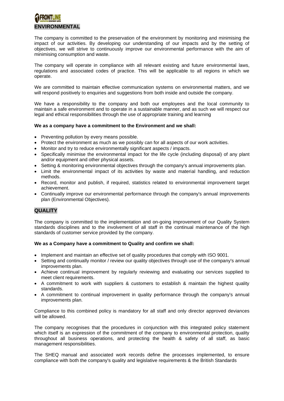# **ENVIRONMENTAL**

The company is committed to the preservation of the environment by monitoring and minimising the impact of our activities. By developing our understanding of our impacts and by the setting of objectives, we will strive to continuously improve our environmental performance with the aim of minimising consumption and waste.

The company will operate in compliance with all relevant existing and future environmental laws, regulations and associated codes of practice. This will be applicable to all regions in which we operate.

We are committed to maintain effective communication systems on environmental matters, and we will respond positively to enquiries and suggestions from both inside and outside the company.

We have a responsibility to the company and both our employees and the local community to maintain a safe environment and to operate in a sustainable manner, and as such we will respect our legal and ethical responsibilities through the use of appropriate training and learning

#### **We as a company have a commitment to the Environment and we shall:**

- Preventing pollution by every means possible.
- Protect the environment as much as we possibly can for all aspects of our work activities.
- Monitor and try to reduce environmentally significant aspects / impacts.
- Specifically minimise the environmental impact for the life cycle (including disposal) of any plant and/or equipment and other physical assets.
- Setting & monitoring environmental objectives through the company's annual improvements plan.
- Limit the environmental impact of its activities by waste and material handling, and reduction methods.
- Record, monitor and publish, if required, statistics related to environmental improvement target achievement.
- Continually improve our environmental performance through the company's annual improvements plan (Environmental Objectives).

### **QUALITY**

The company is committed to the implementation and on-going improvement of our Quality System standards disciplines and to the involvement of all staff in the continual maintenance of the high standards of customer service provided by the company.

#### **We as a Company have a commitment to Quality and confirm we shall:**

- Implement and maintain an effective set of quality procedures that comply with ISO 9001.
- Setting and continually monitor / review our quality objectives through use of the company's annual improvements plan.
- Achieve continual improvement by regularly reviewing and evaluating our services supplied to meet client requirements.
- A commitment to work with suppliers & customers to establish & maintain the highest quality standards.
- A commitment to continual improvement in quality performance through the company's annual improvements plan.

Compliance to this combined policy is mandatory for all staff and only director approved deviances will be allowed.

The company recognises that the procedures in conjunction with this integrated policy statement which itself is an expression of the commitment of the company to environmental protection, quality throughout all business operations, and protecting the health & safety of all staff, as basic management responsibilities.

The SHEQ manual and associated work records define the processes implemented, to ensure compliance with both the company's quality and legislative requirements & the British Standards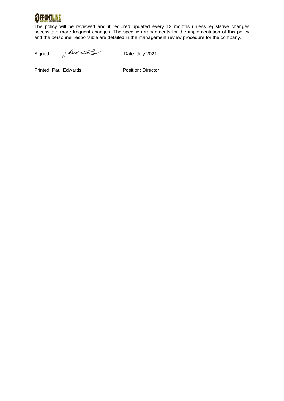

The policy will be reviewed and if required updated every 12 months unless legislative changes necessitate more frequent changes. The specific arrangements for the implementation of this policy and the personnel responsible are detailed in the management review procedure for the company.

Signed: Allen Contract Date: July 2021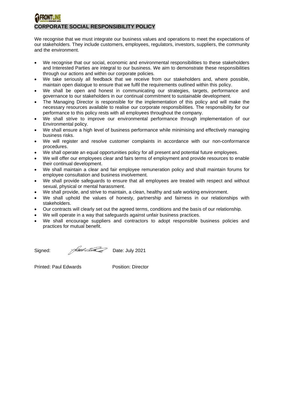# **CORPORATE SOCIAL RESPONSIBILITY POLICY**

We recognise that we must integrate our business values and operations to meet the expectations of our stakeholders. They include customers, employees, regulators, investors, suppliers, the community and the environment.

- We recognise that our social, economic and environmental responsibilities to these stakeholders and Interested Parties are integral to our business. We aim to demonstrate these responsibilities through our actions and within our corporate policies.
- We take seriously all feedback that we receive from our stakeholders and, where possible, maintain open dialogue to ensure that we fulfil the requirements outlined within this policy.
- We shall be open and honest in communicating our strategies, targets, performance and governance to our stakeholders in our continual commitment to sustainable development.
- The Managing Director is responsible for the implementation of this policy and will make the necessary resources available to realise our corporate responsibilities. The responsibility for our performance to this policy rests with all employees throughout the company.
- We shall strive to improve our environmental performance through implementation of our Environmental policy.
- We shall ensure a high level of business performance while minimising and effectively managing business risks.
- We will register and resolve customer complaints in accordance with our non-conformance procedures.
- We shall operate an equal opportunities policy for all present and potential future employees.
- We will offer our employees clear and fairs terms of employment and provide resources to enable their continual development.
- We shall maintain a clear and fair employee remuneration policy and shall maintain forums for employee consultation and business involvement.
- We shall provide safeguards to ensure that all employees are treated with respect and without sexual, physical or mental harassment.
- We shall provide, and strive to maintain, a clean, healthy and safe working environment.
- We shall uphold the values of honesty, partnership and fairness in our relationships with stakeholders.
- Our contracts will clearly set out the agreed terms, conditions and the basis of our relationship.
- We will operate in a way that safeguards against unfair business practices.
- We shall encourage suppliers and contractors to adopt responsible business policies and practices for mutual benefit.

Signed: Allen Bate: July 2021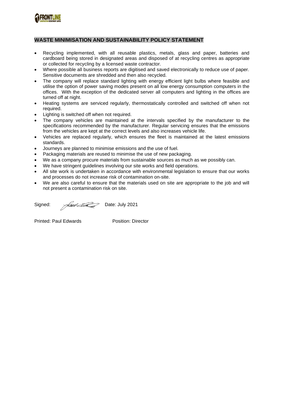

### **WASTE MINIMISATION AND SUSTAINABILITY POLICY STATEMENT**

- Recycling implemented, with all reusable plastics, metals, glass and paper, batteries and cardboard being stored in designated areas and disposed of at recycling centres as appropriate or collected for recycling by a licensed waste contractor.
- Where possible all business reports are digitised and saved electronically to reduce use of paper. Sensitive documents are shredded and then also recycled.
- The company will replace standard lighting with energy efficient light bulbs where feasible and utilise the option of power saving modes present on all low energy consumption computers in the offices. With the exception of the dedicated server all computers and lighting in the offices are turned off at night.
- Heating systems are serviced regularly, thermostatically controlled and switched off when not required.
- Lighting is switched off when not required.
- The company vehicles are maintained at the intervals specified by the manufacturer to the specifications recommended by the manufacturer. Regular servicing ensures that the emissions from the vehicles are kept at the correct levels and also increases vehicle life.
- Vehicles are replaced regularly, which ensures the fleet is maintained at the latest emissions standards.
- Journeys are planned to minimise emissions and the use of fuel.
- Packaging materials are reused to minimise the use of new packaging.
- We as a company procure materials from sustainable sources as much as we possibly can.
- We have stringent quidelines involving our site works and field operations.
- All site work is undertaken in accordance with environmental legislation to ensure that our works and processes do not increase risk of contamination on-site.
- We are also careful to ensure that the materials used on site are appropriate to the job and will not present a contamination risk on site.

Signed: Alle Electron Date: July 2021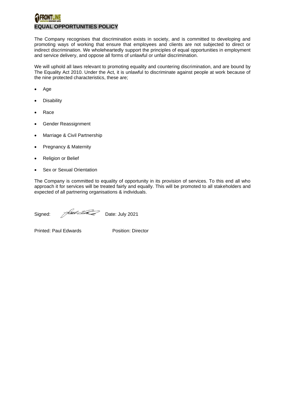# **EQUAL OPPORTUNITIES POLICY**

The Company recognises that discrimination exists in society, and is committed to developing and promoting ways of working that ensure that employees and clients are not subjected to direct or indirect discrimination. We wholeheartedly support the principles of equal opportunities in employment and service delivery, and oppose all forms of unlawful or unfair discrimination.

We will uphold all laws relevant to promoting equality and countering discrimination, and are bound by The Equality Act 2010. Under the Act, it is unlawful to discriminate against people at work because of the nine protected characteristics, these are;

- Age
- **Disability**
- Race
- Gender Reassignment
- Marriage & Civil Partnership
- Pregnancy & Maternity
- Religion or Belief
- Sex or Sexual Orientation

The Company is committed to equality of opportunity in its provision of services. To this end all who approach it for services will be treated fairly and equally. This will be promoted to all stakeholders and expected of all partnering organisations & individuals.

Signed: Allen Date: July 2021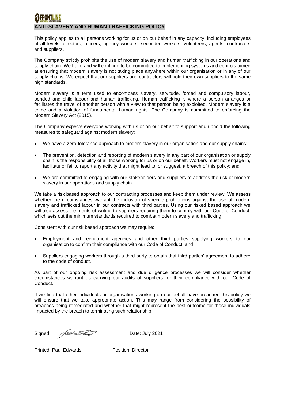# **ANTI-SLAVERY AND HUMAN TRAFFICKING POLICY**

This policy applies to all persons working for us or on our behalf in any capacity, including employees at all levels, directors, officers, agency workers, seconded workers, volunteers, agents, contractors and suppliers.

The Company strictly prohibits the use of modern slavery and human trafficking in our operations and supply chain. We have and will continue to be committed to implementing systems and controls aimed at ensuring that modern slavery is not taking place anywhere within our organisation or in any of our supply chains. We expect that our suppliers and contractors will hold their own suppliers to the same high standards.

Modern slavery is a term used to encompass slavery, servitude, forced and compulsory labour, bonded and child labour and human trafficking. Human trafficking is where a person arranges or facilitates the travel of another person with a view to that person being exploited. Modern slavery is a crime and a violation of fundamental human rights. The Company is committed to enforcing the Modern Slavery Act (2015).

The Company expects everyone working with us or on our behalf to support and uphold the following measures to safeguard against modern slavery:

- We have a zero-tolerance approach to modern slavery in our organisation and our supply chains;
- The prevention, detection and reporting of modern slavery in any part of our organisation or supply chain is the responsibility of all those working for us or on our behalf. Workers must not engage in, facilitate or fail to report any activity that might lead to, or suggest, a breach of this policy; and
- We are committed to engaging with our stakeholders and suppliers to address the risk of modern slavery in our operations and supply chain.

We take a risk based approach to our contracting processes and keep them under review. We assess whether the circumstances warrant the inclusion of specific prohibitions against the use of modern slavery and trafficked labour in our contracts with third parties. Using our risked based approach we will also assess the merits of writing to suppliers requiring them to comply with our Code of Conduct, which sets out the minimum standards required to combat modern slavery and trafficking.

Consistent with our risk based approach we may require:

- Employment and recruitment agencies and other third parties supplying workers to our organisation to confirm their compliance with our Code of Conduct; and
- Suppliers engaging workers through a third party to obtain that third parties' agreement to adhere to the code of conduct.

As part of our ongoing risk assessment and due diligence processes we will consider whether circumstances warrant us carrying out audits of suppliers for their compliance with our Code of Conduct.

If we find that other individuals or organisations working on our behalf have breached this policy we will ensure that we take appropriate action. This may range from considering the possibility of breaches being remediated and whether that might represent the best outcome for those individuals impacted by the breach to terminating such relationship.

Signed: Allen Contract Contract Date: July 2021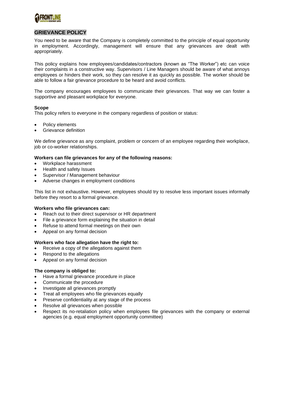

### **GRIEVANCE POLICY**

You need to be aware that the Company is completely committed to the principle of equal opportunity in employment. Accordingly, management will ensure that any grievances are dealt with appropriately.

This policy explains how employees/candidates/contractors (known as "The Worker") etc can voice their complaints in a constructive way. Supervisors / Line Managers should be aware of what annoys employees or hinders their work, so they can resolve it as quickly as possible. The worker should be able to follow a fair grievance procedure to be heard and avoid conflicts.

The company encourages employees to communicate their grievances. That way we can foster a supportive and pleasant workplace for everyone.

#### **Scope**

This policy refers to everyone in the company regardless of position or status:

- Policy elements
- Grievance definition

We define grievance as any complaint, problem or concern of an employee regarding their workplace, job or co-worker relationships.

#### **Workers can file grievances for any of the following reasons:**

- Workplace harassment
- Health and safety Issues
- Supervisor / Management behaviour
- Adverse changes in employment conditions

This list in not exhaustive. However, employees should try to resolve less important issues informally before they resort to a formal grievance.

#### **Workers who file grievances can:**

- Reach out to their direct supervisor or HR department
- File a grievance form explaining the situation in detail
- Refuse to attend formal meetings on their own
- Appeal on any formal decision

#### **Workers who face allegation have the right to:**

- Receive a copy of the allegations against them
- Respond to the allegations
- Appeal on any formal decision

#### **The company is obliged to:**

- Have a formal grievance procedure in place
- Communicate the procedure
- Investigate all grievances promptly
- Treat all employees who file grievances equally
- Preserve confidentiality at any stage of the process
- Resolve all grievances when possible
- Respect its no-retaliation policy when employees file grievances with the company or external agencies (e.g. equal employment opportunity committee)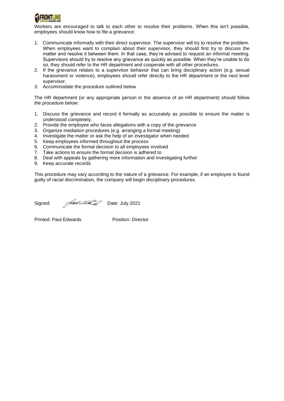

Workers are encouraged to talk to each other to resolve their problems. When this isn't possible, employees should know how to file a grievance:

- 1. Communicate informally with their direct supervisor. The supervisor will try to resolve the problem. When employees want to complain about their supervisor, they should first try to discuss the matter and resolve it between them. In that case, they're advised to request an informal meeting. Supervisors should try to resolve any grievance as quickly as possible. When they're unable to do so, they should refer to the HR department and cooperate with all other procedures.
- 2. If the grievance relates to a supervisor behavior that can bring disciplinary action (e.g. sexual harassment or violence), employees should refer directly to the HR department or the next level supervisor.
- 3. Accommodate the procedure outlined below

The HR department (or any appropriate person in the absence of an HR department) should follow the procedure below:

- 1. Discuss the grievance and record it formally as accurately as possible to ensure the matter is understood completely.
- 2. Provide the employee who faces allegations with a copy of the grievance
- 3. Organize mediation procedures (e.g. arranging a formal meeting)
- 4. Investigate the matter or ask the help of an investigator when needed
- 5. Keep employees informed throughout the process
- 6. Communicate the formal decision to all employees involved
- 7. Take actions to ensure the formal decision is adhered to
- 8. Deal with appeals by gathering more information and investigating further
- 9. Keep accurate records

This procedure may vary according to the nature of a grievance. For example, if an employee is found guilty of racial discrimination, the company will begin disciplinary procedures.

Signed: Almedia Date: July 2021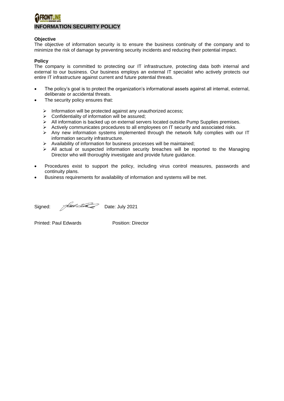### **INFORMATION SECURITY POLICY**

#### **Objective**

The objective of information security is to ensure the business continuity of the company and to minimize the risk of damage by preventing security incidents and reducing their potential impact.

#### **Policy**

The company is committed to protecting our IT infrastructure, protecting data both internal and external to our business. Our business employs an external IT specialist who actively protects our entire IT infrastructure against current and future potential threats.

- The policy's goal is to protect the organization's informational assets against all internal, external, deliberate or accidental threats.
- The security policy ensures that:
	- ➢ Information will be protected against any unauthorized access;
	- $\triangleright$  Confidentiality of information will be assured;
	- ➢ All information is backed up on external servers located outside Pump Supplies premises.
	- ➢ Actively communicates procedures to all employees on IT security and associated risks.
	- ➢ Any new information systems implemented through the network fully complies with our IT information security infrastructure.
	- ➢ Availability of information for business processes will be maintained;
	- $\triangleright$  All actual or suspected information security breaches will be reported to the Managing Director who will thoroughly investigate and provide future guidance.
- Procedures exist to support the policy, including virus control measures, passwords and continuity plans.
- Business requirements for availability of information and systems will be met.

Signed: Aultrack Date: July 2021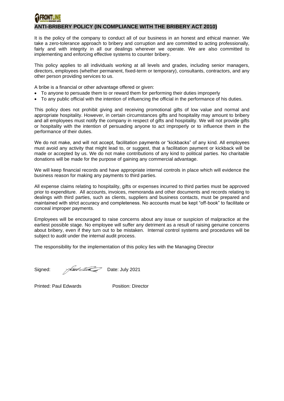## **ANTI-BRIBERY POLICY (IN COMPLIANCE WITH THE BRIBERY ACT 2010)**

It is the policy of the company to conduct all of our business in an honest and ethical manner. We take a zero-tolerance approach to bribery and corruption and are committed to acting professionally, fairly and with integrity in all our dealings wherever we operate. We are also committed to implementing and enforcing effective systems to counter bribery.

This policy applies to all individuals working at all levels and grades, including senior managers, directors, employees (whether permanent, fixed-term or temporary), consultants, contractors, and any other person providing services to us.

A bribe is a financial or other advantage offered or given:

- To anyone to persuade them to or reward them for performing their duties improperly
- To any public official with the intention of influencing the official in the performance of his duties.

This policy does not prohibit giving and receiving promotional gifts of low value and normal and appropriate hospitality. However, in certain circumstances gifts and hospitality may amount to bribery and all employees must notify the company in respect of gifts and hospitality. We will not provide gifts or hospitality with the intention of persuading anyone to act improperly or to influence them in the performance of their duties.

We do not make, and will not accept, facilitation payments or "kickbacks" of any kind. All employees must avoid any activity that might lead to, or suggest, that a facilitation payment or kickback will be made or accepted by us. We do not make contributions of any kind to political parties. No charitable donations will be made for the purpose of gaining any commercial advantage.

We will keep financial records and have appropriate internal controls in place which will evidence the business reason for making any payments to third parties.

All expense claims relating to hospitality, gifts or expenses incurred to third parties must be approved prior to expenditure. All accounts, invoices, memoranda and other documents and records relating to dealings with third parties, such as clients, suppliers and business contacts, must be prepared and maintained with strict accuracy and completeness. No accounts must be kept "off-book" to facilitate or conceal improper payments.

Employees will be encouraged to raise concerns about any issue or suspicion of malpractice at the earliest possible stage. No employee will suffer any detriment as a result of raising genuine concerns about bribery, even if they turn out to be mistaken. Internal control systems and procedures will be subject to audit under the internal audit process.

The responsibility for the implementation of this policy lies with the Managing Director

Signed: Ault Eliza Date: July 2021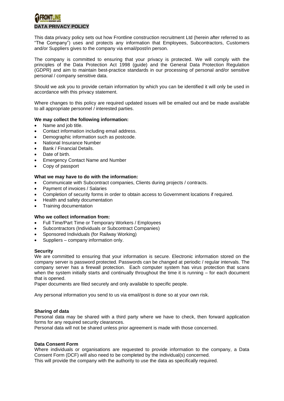## **DATA PRIVACY POLICY**

This data privacy policy sets out how Frontline construction recruitment Ltd (herein after referred to as "The Company") uses and protects any information that Employees, Subcontractors, Customers and/or Suppliers gives to the company via email/post/in person.

The company is committed to ensuring that your privacy is protected. We will comply with the principles of the Data Protection Act 1998 (guide) and the General Data Protection Regulation (GDPR) and aim to maintain best-practice standards in our processing of personal and/or sensitive personal / company sensitive data.

Should we ask you to provide certain information by which you can be identified it will only be used in accordance with this privacy statement.

Where changes to this policy are required updated issues will be emailed out and be made available to all appropriate personnel / interested parties.

#### **We may collect the following information:**

- Name and job title.
- Contact information including email address.
- Demographic information such as postcode.
- National Insurance Number
- Bank / Financial Details.
- Date of birth.
- Emergency Contact Name and Number
- Copy of passport

#### **What we may have to do with the information:**

- Communicate with Subcontract companies, Clients during projects / contracts.
- Payment of invoices / Salaries
- Completion of security forms in order to obtain access to Government locations if required.
- Health and safety documentation
- Training documentation

#### **Who we collect information from:**

- Full Time/Part Time or Temporary Workers / Employees
- Subcontractors (Individuals or Subcontract Companies)
- Sponsored Individuals (for Railway Working)
- Suppliers company information only.

#### **Security**

We are committed to ensuring that your information is secure. Electronic information stored on the company server is password protected. Passwords can be changed at periodic / regular intervals. The company server has a firewall protection. Each computer system has virus protection that scans when the system initially starts and continually throughout the time it is running – for each document that is opened.

Paper documents are filed securely and only available to specific people.

Any personal information you send to us via email/post is done so at your own risk.

#### **Sharing of data**

Personal data may be shared with a third party where we have to check, then forward application forms for any required security clearances.

Personal data will not be shared unless prior agreement is made with those concerned.

#### **Data Consent Form**

Where individuals or organisations are requested to provide information to the company, a Data Consent Form (DCF) will also need to be completed by the individual(s) concerned. This will provide the company with the authority to use the data as specifically required.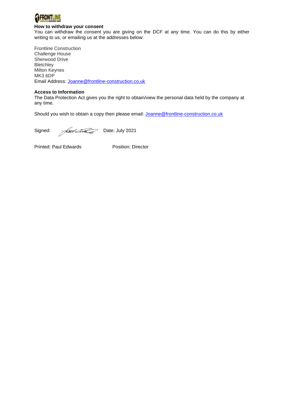

#### **How to withdraw your consent**

You can withdraw the consent you are giving on the DCF at any time. You can do this by either writing to us, or emailing us at the addresses below:

Frontline Construction Challenge House Sherwood Drive **Bletchley** Milton Keynes MK3 6DP Email Address: [Joanne@frontline-construction.co.uk](mailto:Joanne@frontline-construction.co.uk)

#### **Access to Information**

The Data Protection Act gives you the right to obtain/view the personal data held by the company at any time.

Should you wish to obtain a copy then please email: [Joanne@frontline-construction.co.uk](mailto:Joanne@frontline-construction.co.uk)

Signed: Allen Date: July 2021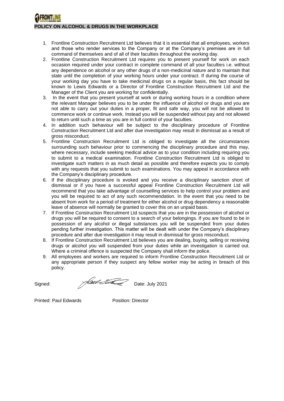### **POLICY ON ALCOHOL & DRUGS IN THE WORKPLACE**

- 1. Frontline Construction Recruitment Ltd believes that it is essential that all employees, workers and those who render services to the Company or at the Company's premises are in full command of themselves and of all of their faculties throughout the working day.
- 2. Frontline Construction Recruitment Ltd requires you to present yourself for work on each occasion required under your contract in complete command of all your faculties i.e. without any dependence on alcohol or any other drugs of a non-medicinal nature and to maintain that state until the completion of your working hours under your contract. If during the course of your working day you have to take medicinal drugs on a regular basis, this fact should be known to Lewis Edwards or a Director of Frontline Construction Recruitment Ltd and the Manager of the Client you are working for confidentially.
- 3. In the event that you present yourself at work or during working hours in a condition where the relevant Manager believes you to be under the influence of alcohol or drugs and you are not able to carry out your duties in a proper, fit and safe way, you will not be allowed to commence work or continue work. Instead you will be suspended without pay and not allowed to return until such a time as you are in full control of your faculties.
- 4. In addition such behaviour will be subject to the disciplinary procedure of Frontline Construction Recruitment Ltd and after due investigation may result in dismissal as a result of gross misconduct.
- 5. Frontline Construction Recruitment Ltd is obliged to investigate all the circumstances surrounding such behaviour prior to commencing the disciplinary procedure and this may, where necessary, include seeking medical advice as to your condition including requiring you to submit to a medical examination. Frontline Construction Recruitment Ltd is obliged to investigate such matters in as much detail as possible and therefore expects you to comply with any requests that you submit to such examinations. You may appeal in accordance with the Company's disciplinary procedure.
- 6. If the disciplinary procedure is evoked and you receive a disciplinary sanction short of dismissal or if you have a successful appeal Frontline Construction Recruitment Ltd will recommend that you take advantage of counselling services to help control your problem and you will be required to act of any such recommendation. In the event that you need to be absent from work for a period of treatment for either alcohol or drug dependency a reasonable leave of absence will normally be granted to cover this on an unpaid basis.
- 7. If Frontline Construction Recruitment Ltd suspects that you are in the possession of alcohol or drugs you will be required to consent to a search of your belongings. If you are found to be in possession of any alcohol or illegal substances you will be suspended from your duties pending further investigation. This matter will be dealt with under the Company's disciplinary procedure and after due investigation it may result in dismissal for gross misconduct.
- 8. If Frontline Construction Recruitment Ltd believes you are dealing, buying, selling or receiving drugs or alcohol you will suspended from your duties while an investigation is carried out. Where a criminal offence is suspected the Company shall inform the police.
- 9. All employees and workers are required to inform Frontline Construction Recruitment Ltd or any appropriate person if they suspect any fellow worker may be acting in breach of this policy.

Signed: Allen Mate: July 2021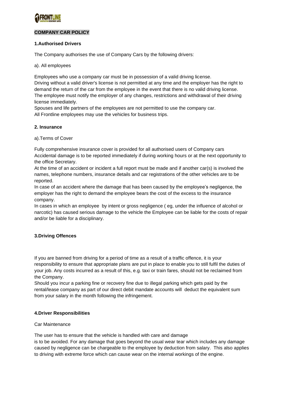

### **COMPANY CAR POLICY**

#### **1.Authorised Drivers**

The Company authorises the use of Company Cars by the following drivers:

a). All employees

Employees who use a company car must be in possession of a valid driving license. Driving without a valid driver's license is not permitted at any time and the employer has the right to demand the return of the car from the employee in the event that there is no valid driving license. The employee must notify the employer of any changes, restrictions and withdrawal of their driving license immediately.

Spouses and life partners of the employees are not permitted to use the company car. All Frontline employees may use the vehicles for business trips.

#### **2. Insurance**

a).Terms of Cover

Fully comprehensive insurance cover is provided for all authorised users of Company cars Accidental damage is to be reported immediately if during working hours or at the next opportunity to the office Secretary.

At the time of an accident or incident a full report must be made and if another car(s) is involved the names, telephone numbers, insurance details and car registrations of the other vehicles are to be reported.

In case of an accident where the damage that has been caused by the employee's negligence, the employer has the right to demand the employee bears the cost of the excess to the insurance company.

In cases in which an employee by intent or gross negligence ( eg, under the influence of alcohol or narcotic) has caused serious damage to the vehicle the Employee can be liable for the costs of repair and/or be liable for a disciplinary.

#### **3.Driving Offences**

If you are banned from driving for a period of time as a result of a traffic offence, it is your responsibility to ensure that appropriate plans are put in place to enable you to still fulfil the duties of your job. Any costs incurred as a result of this, e.g. taxi or train fares, should not be reclaimed from the Company.

Should you incur a parking fine or recovery fine due to illegal parking which gets paid by the rental/lease company as part of our direct debit mandate accounts will deduct the equivalent sum from your salary in the month following the infringement.

#### **4.Driver Responsibilities**

#### Car Maintenance

The user has to ensure that the vehicle is handled with care and damage

is to be avoided. For any damage that goes beyond the usual wear tear which includes any damage caused by negligence can be chargeable to the employee by deduction from salary. This also applies to driving with extreme force which can cause wear on the internal workings of the engine.